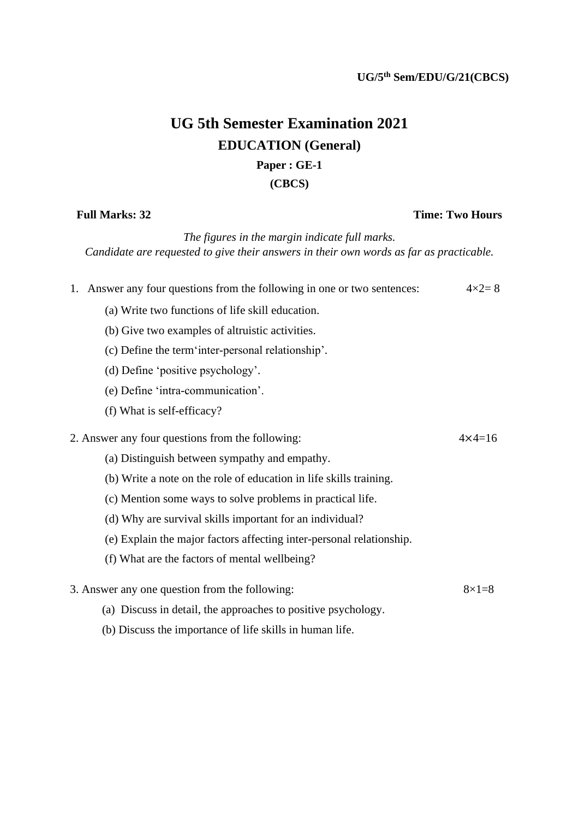## **UG 5th Semester Examination 2021 EDUCATION (General) Paper : GE-1**

**(CBCS)**

## **Full Marks: 32 Time: Two Hours**

*The figures in the margin indicate full marks. Candidate are requested to give their answers in their own words as far as practicable.*

| 1. Answer any four questions from the following in one or two sentences: | $4 \times 2 = 8$  |
|--------------------------------------------------------------------------|-------------------|
| (a) Write two functions of life skill education.                         |                   |
| (b) Give two examples of altruistic activities.                          |                   |
| (c) Define the term inter-personal relationship'.                        |                   |
| (d) Define 'positive psychology'.                                        |                   |
| (e) Define 'intra-communication'.                                        |                   |
| (f) What is self-efficacy?                                               |                   |
| 2. Answer any four questions from the following:                         | $4 \times 4 = 16$ |
| (a) Distinguish between sympathy and empathy.                            |                   |
| (b) Write a note on the role of education in life skills training.       |                   |
| (c) Mention some ways to solve problems in practical life.               |                   |
| (d) Why are survival skills important for an individual?                 |                   |
| (e) Explain the major factors affecting inter-personal relationship.     |                   |
| (f) What are the factors of mental wellbeing?                            |                   |
| 3. Answer any one question from the following:                           | $8\times1=8$      |

- (a) Discuss in detail, the approaches to positive psychology.
- (b) Discuss the importance of life skills in human life.